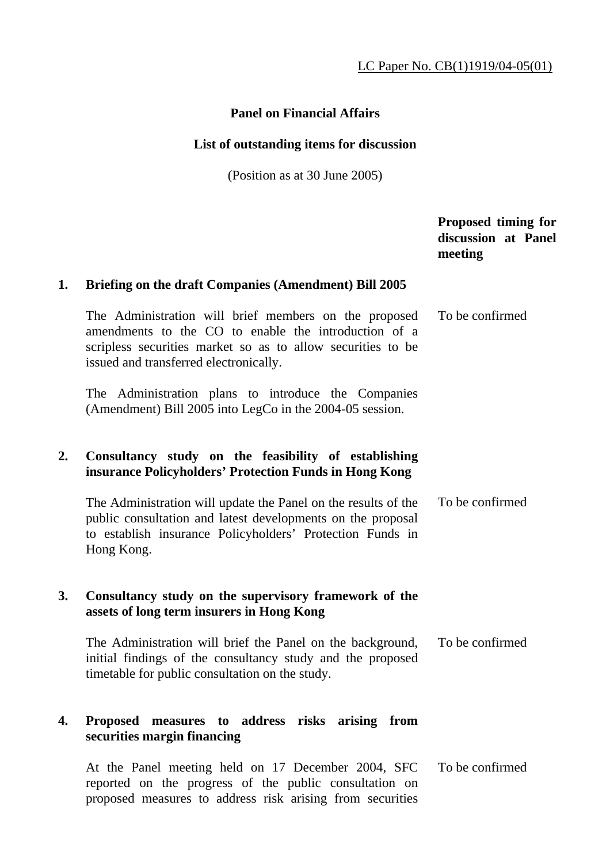# **Panel on Financial Affairs**

#### **List of outstanding items for discussion**

(Position as at 30 June 2005)

# **Proposed timing for discussion at Panel meeting**

#### **1. Briefing on the draft Companies (Amendment) Bill 2005**

 The Administration will brief members on the proposed amendments to the CO to enable the introduction of a scripless securities market so as to allow securities to be issued and transferred electronically. To be confirmed

 The Administration plans to introduce the Companies (Amendment) Bill 2005 into LegCo in the 2004-05 session.

## **2. Consultancy study on the feasibility of establishing insurance Policyholders' Protection Funds in Hong Kong**

 The Administration will update the Panel on the results of the public consultation and latest developments on the proposal to establish insurance Policyholders' Protection Funds in Hong Kong. To be confirmed

#### **3. Consultancy study on the supervisory framework of the assets of long term insurers in Hong Kong**

 The Administration will brief the Panel on the background, initial findings of the consultancy study and the proposed timetable for public consultation on the study. To be confirmed

## **4. Proposed measures to address risks arising from securities margin financing**

 At the Panel meeting held on 17 December 2004, SFC reported on the progress of the public consultation on proposed measures to address risk arising from securities To be confirmed